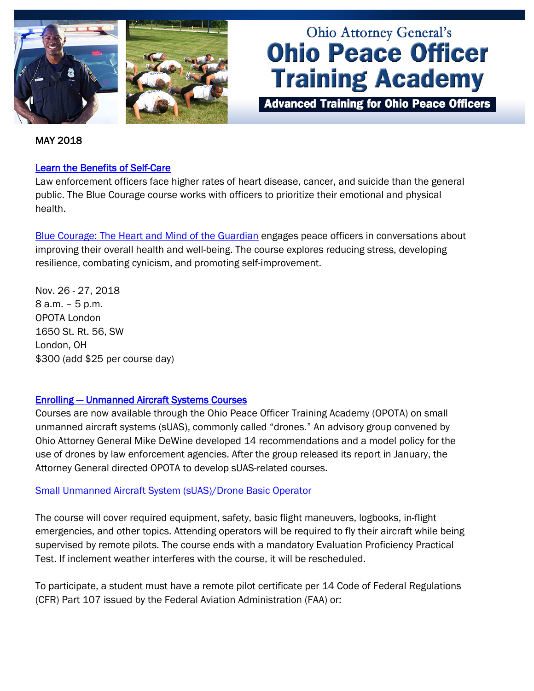



# **Ohio Attorney General's Ohio Peace Officer Training Academy**

**Advanced Training for Ohio Peace Officers** 

#### MAY 2018

#### [Learn the Benefits of Self-Care](http://www.ohioattorneygeneral.gov/Law-Enforcement/Ohio-Peace-Officer-Training-Academy/Course-Catalog/Course-Categories/Fitness-Wellness-Courses#OPOTA900)

Law enforcement officers face higher rates of heart disease, cancer, and suicide than the general public. The Blue Courage course works with officers to prioritize their emotional and physical health.

[Blue Courage: The Heart and Mind of the Guardian](http://www.ohioattorneygeneral.gov/Law-Enforcement/Ohio-Peace-Officer-Training-Academy/Course-Catalog/Course-Categories/Fitness-Wellness-Courses#OPOTA900) engages peace officers in conversations about improving their overall health and well-being. The course explores reducing stress, developing resilience, combating cynicism, and promoting self-improvement.

Nov. 26 - 27, 2018 8 a.m. – 5 p.m. OPOTA London 1650 St. Rt. 56, SW London, OH \$300 (add \$25 per course day)

#### [Enrolling — Unmanned Aircraft Systems Courses](http://www.ohioattorneygeneral.gov/Law-Enforcement/Ohio-Peace-Officer-Training-Academy/Course-Catalog/Course-Categories/Unmanned-Aircraft-Systems-Courses#OPOTA1071)

Courses are now available through the Ohio Peace Officer Training Academy (OPOTA) on small unmanned aircraft systems (sUAS), commonly called "drones." An advisory group convened by Ohio Attorney General Mike DeWine developed 14 recommendations and a model policy for the use of drones by law enforcement agencies. After the group released its report in January, the Attorney General directed OPOTA to develop sUAS-related courses.

#### [Small Unmanned Aircraft System \(sUAS\)/Drone Basic Operator](http://www.ohioattorneygeneral.gov/Law-Enforcement/Ohio-Peace-Officer-Training-Academy/Course-Catalog/Course-Categories/Unmanned-Aircraft-Systems-Courses#OPOTA1071)

The course will cover required equipment, safety, basic flight maneuvers, logbooks, in-flight emergencies, and other topics. Attending operators will be required to fly their aircraft while being supervised by remote pilots. The course ends with a mandatory Evaluation Proficiency Practical Test. If inclement weather interferes with the course, it will be rescheduled.

To participate, a student must have a remote pilot certificate per 14 Code of Federal Regulations (CFR) Part 107 issued by the Federal Aviation Administration (FAA) or: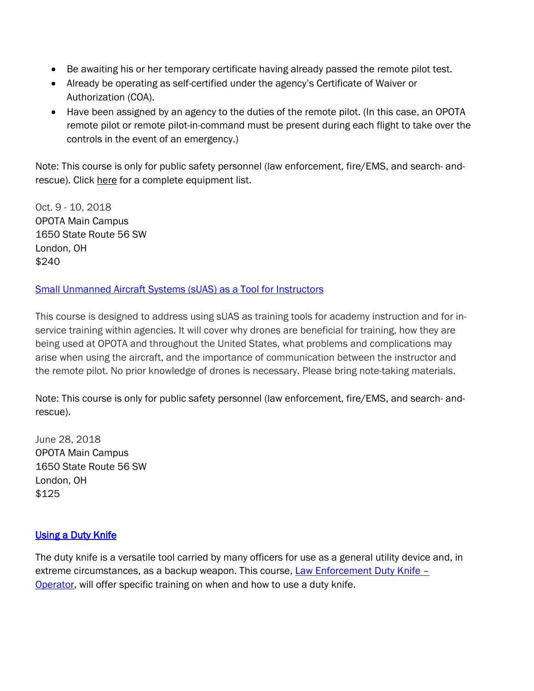- Be awaiting his or her temporary certificate having already passed the remote pilot test.
- Already be operating as self-certified under the agency's Certificate of Waiver or Authorization (COA).
- Have been assigned by an agency to the duties of the remote pilot. (In this case, an OPOTA remote pilot or remote pilot-in-command must be present during each flight to take over the controls in the event of an emergency.)

Note: This course is only for public safety personnel (law enforcement, fire/EMS, and search- andrescue). Click [here](http://www.ohioattorneygeneral.gov/getattachment/Law-Enforcement/Ohio-Peace-Officer-Training-Academy/Course-Catalog/Course-Categories/Unmanned-Aircraft-Systems-Courses/Small-Unmanned-Aircraft-System-(sUAS)-Drone-Basic/Required-Equipment-List-for-UAS-Basic-Operator-Course.pdf.aspx) for a complete equipment list.

Oct. 9 - 10, 2018 OPOTA Main Campus 1650 State Route 56 SW London, OH \$240

### [Small Unmanned Aircraft Systems \(sUAS\) as a Tool for Instructors](http://www.ohioattorneygeneral.gov/Law-Enforcement/Ohio-Peace-Officer-Training-Academy/Course-Catalog/Course-Categories/Unmanned-Aircraft-Systems-Courses#OPOTA1070)

This course is designed to address using sUAS as training tools for academy instruction and for inservice training within agencies. It will cover why drones are beneficial for training, how they are being used at OPOTA and throughout the United States, what problems and complications may arise when using the aircraft, and the importance of communication between the instructor and the remote pilot. No prior knowledge of drones is necessary. Please bring note-taking materials.

Note: This course is only for public safety personnel (law enforcement, fire/EMS, and search- andrescue).

June 28, 2018 OPOTA Main Campus 1650 State Route 56 SW London, OH \$125

## **Using a Duty Knife**

The duty knife is a versatile tool carried by many officers for use as a general utility device and, in extreme circumstances, as a backup weapon. This course, Law Enforcement Duty Knife -[Operator,](http://www.ohioattorneygeneral.gov/Law-Enforcement/Ohio-Peace-Officer-Training-Academy/Course-Catalog/Course-Categories/Patrol-Courses#OPOTA870) will offer specific training on when and how to use a duty knife.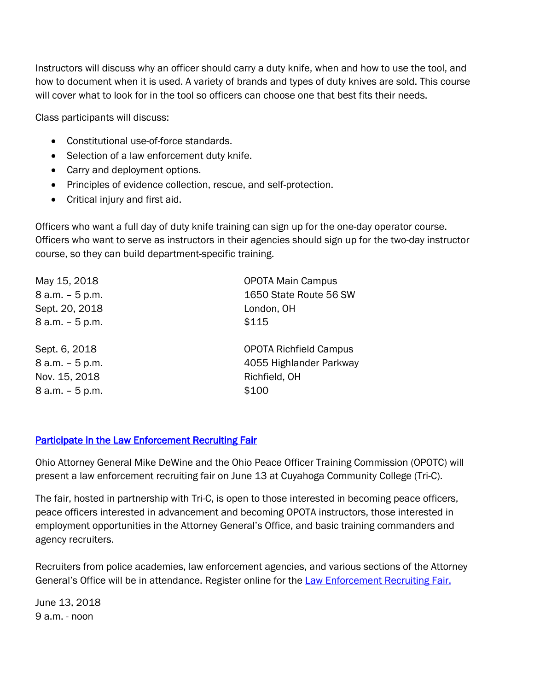Instructors will discuss why an officer should carry a duty knife, when and how to use the tool, and how to document when it is used. A variety of brands and types of duty knives are sold. This course will cover what to look for in the tool so officers can choose one that best fits their needs.

Class participants will discuss:

- Constitutional use-of-force standards.
- Selection of a law enforcement duty knife.
- Carry and deployment options.
- Principles of evidence collection, rescue, and self-protection.
- Critical injury and first aid.

Officers who want a full day of duty knife training can sign up for the one-day operator course. Officers who want to serve as instructors in their agencies should sign up for the two-day instructor course, so they can build department-specific training.

| May 15, 2018    | <b>OPOTA Main Campus</b>      |
|-----------------|-------------------------------|
| 8 a.m. - 5 p.m. | 1650 State Route 56 SW        |
| Sept. 20, 2018  | London, OH                    |
| 8 a.m. - 5 p.m. | \$115                         |
| Sept. 6, 2018   | <b>OPOTA Richfield Campus</b> |
| 8 a.m. - 5 p.m. | 4055 Highlander Parkway       |
| Nov. 15, 2018   | Richfield, OH                 |
| 8 a.m. - 5 p.m. | \$100                         |

## Participate in the Law Enforcement Recruiting Fair

Ohio Attorney General Mike DeWine and the Ohio Peace Officer Training Commission (OPOTC) will present a law enforcement recruiting fair on June 13 at Cuyahoga Community College (Tri-C).

The fair, hosted in partnership with Tri-C, is open to those interested in becoming peace officers, peace officers interested in advancement and becoming OPOTA instructors, those interested in employment opportunities in the Attorney General's Office, and basic training commanders and agency recruiters.

Recruiters from police academies, law enforcement agencies, and various sections of the Attorney General's Office will be in attendance. Register online for the [Law Enforcement Recruiting Fair.](https://goto.webcasts.com/starthere.jsp?ei=1190376&tp_key=6e3561d4b5)

June 13, 2018 9 a.m. - noon